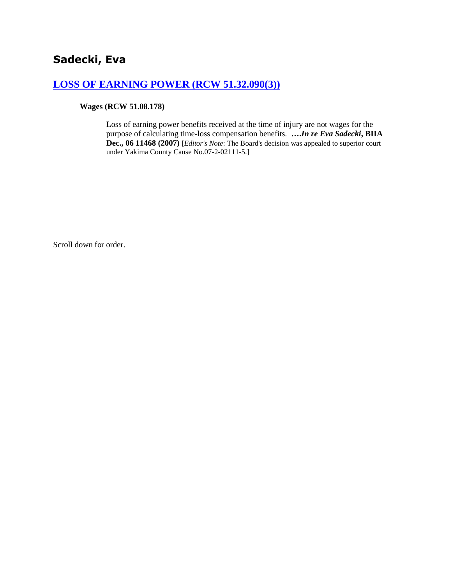# **[LOSS OF EARNING POWER \(RCW 51.32.090\(3\)\)](http://www.biia.wa.gov/SDSubjectIndex.html#LOSS_OF_EARNING_POWER)**

**Wages (RCW 51.08.178)** 

Loss of earning power benefits received at the time of injury are not wages for the purpose of calculating time-loss compensation benefits. **….***In re Eva Sadecki***, BIIA Dec., 06 11468 (2007)** [*Editor's Note*: The Board's decision was appealed to superior court under Yakima County Cause No.07-2-02111-5.]

Scroll down for order.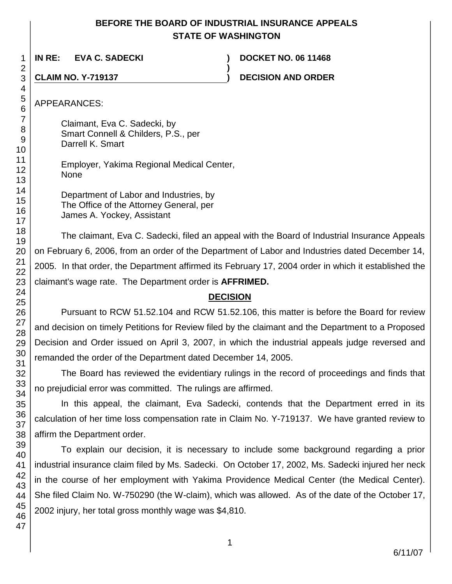## **BEFORE THE BOARD OF INDUSTRIAL INSURANCE APPEALS STATE OF WASHINGTON**

**)**

**IN RE: EVA C. SADECKI ) DOCKET NO. 06 11468**

**CLAIM NO. Y-719137 ) DECISION AND ORDER**

APPEARANCES:

Claimant, Eva C. Sadecki, by Smart Connell & Childers, P.S., per Darrell K. Smart

Employer, Yakima Regional Medical Center, None

Department of Labor and Industries, by The Office of the Attorney General, per James A. Yockey, Assistant

The claimant, Eva C. Sadecki, filed an appeal with the Board of Industrial Insurance Appeals on February 6, 2006, from an order of the Department of Labor and Industries dated December 14, 2005. In that order, the Department affirmed its February 17, 2004 order in which it established the claimant's wage rate. The Department order is **AFFRIMED.**

# **DECISION**

Pursuant to RCW 51.52.104 and RCW 51.52.106, this matter is before the Board for review and decision on timely Petitions for Review filed by the claimant and the Department to a Proposed Decision and Order issued on April 3, 2007, in which the industrial appeals judge reversed and remanded the order of the Department dated December 14, 2005.

The Board has reviewed the evidentiary rulings in the record of proceedings and finds that no prejudicial error was committed. The rulings are affirmed.

In this appeal, the claimant, Eva Sadecki, contends that the Department erred in its calculation of her time loss compensation rate in Claim No. Y-719137. We have granted review to affirm the Department order.

To explain our decision, it is necessary to include some background regarding a prior industrial insurance claim filed by Ms. Sadecki. On October 17, 2002, Ms. Sadecki injured her neck in the course of her employment with Yakima Providence Medical Center (the Medical Center). She filed Claim No. W-750290 (the W-claim), which was allowed. As of the date of the October 17, 2002 injury, her total gross monthly wage was \$4,810.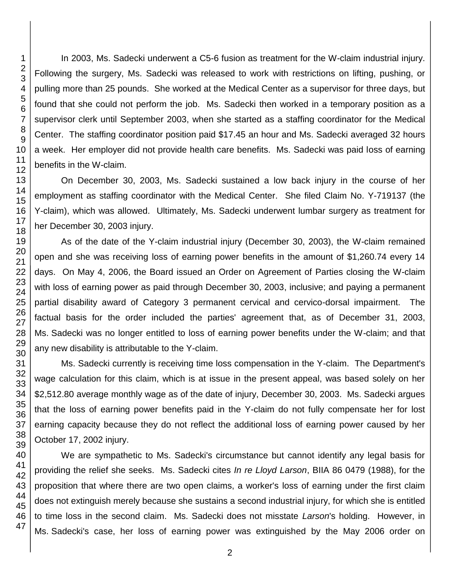46 47

In 2003, Ms. Sadecki underwent a C5-6 fusion as treatment for the W-claim industrial injury. Following the surgery, Ms. Sadecki was released to work with restrictions on lifting, pushing, or pulling more than 25 pounds. She worked at the Medical Center as a supervisor for three days, but found that she could not perform the job. Ms. Sadecki then worked in a temporary position as a supervisor clerk until September 2003, when she started as a staffing coordinator for the Medical Center. The staffing coordinator position paid \$17.45 an hour and Ms. Sadecki averaged 32 hours a week. Her employer did not provide health care benefits. Ms. Sadecki was paid loss of earning benefits in the W-claim.

On December 30, 2003, Ms. Sadecki sustained a low back injury in the course of her employment as staffing coordinator with the Medical Center. She filed Claim No. Y-719137 (the Y-claim), which was allowed. Ultimately, Ms. Sadecki underwent lumbar surgery as treatment for her December 30, 2003 injury.

As of the date of the Y-claim industrial injury (December 30, 2003), the W-claim remained open and she was receiving loss of earning power benefits in the amount of \$1,260.74 every 14 days. On May 4, 2006, the Board issued an Order on Agreement of Parties closing the W-claim with loss of earning power as paid through December 30, 2003, inclusive; and paying a permanent partial disability award of Category 3 permanent cervical and cervico-dorsal impairment. The factual basis for the order included the parties' agreement that, as of December 31, 2003, Ms. Sadecki was no longer entitled to loss of earning power benefits under the W-claim; and that any new disability is attributable to the Y-claim.

Ms. Sadecki currently is receiving time loss compensation in the Y-claim. The Department's wage calculation for this claim, which is at issue in the present appeal, was based solely on her \$2,512.80 average monthly wage as of the date of injury, December 30, 2003. Ms. Sadecki argues that the loss of earning power benefits paid in the Y-claim do not fully compensate her for lost earning capacity because they do not reflect the additional loss of earning power caused by her October 17, 2002 injury.

We are sympathetic to Ms. Sadecki's circumstance but cannot identify any legal basis for providing the relief she seeks. Ms. Sadecki cites *In re Lloyd Larson*, BIIA 86 0479 (1988), for the proposition that where there are two open claims, a worker's loss of earning under the first claim does not extinguish merely because she sustains a second industrial injury, for which she is entitled to time loss in the second claim. Ms. Sadecki does not misstate *Larson*'s holding. However, in Ms. Sadecki's case, her loss of earning power was extinguished by the May 2006 order on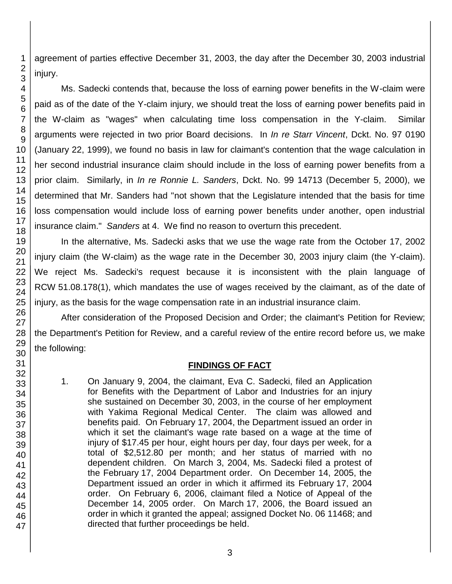agreement of parties effective December 31, 2003, the day after the December 30, 2003 industrial

Ms. Sadecki contends that, because the loss of earning power benefits in the W-claim were paid as of the date of the Y-claim injury, we should treat the loss of earning power benefits paid in the W-claim as "wages" when calculating time loss compensation in the Y-claim. Similar arguments were rejected in two prior Board decisions. In *In re Starr Vincent*, Dckt. No. 97 0190 (January 22, 1999), we found no basis in law for claimant's contention that the wage calculation in her second industrial insurance claim should include in the loss of earning power benefits from a prior claim. Similarly, in *In re Ronnie L. Sanders*, Dckt. No. 99 14713 (December 5, 2000), we determined that Mr. Sanders had "not shown that the Legislature intended that the basis for time loss compensation would include loss of earning power benefits under another, open industrial insurance claim." *Sanders* at 4. We find no reason to overturn this precedent.

In the alternative, Ms. Sadecki asks that we use the wage rate from the October 17, 2002 injury claim (the W-claim) as the wage rate in the December 30, 2003 injury claim (the Y-claim). We reject Ms. Sadecki's request because it is inconsistent with the plain language of RCW 51.08.178(1), which mandates the use of wages received by the claimant, as of the date of injury, as the basis for the wage compensation rate in an industrial insurance claim.

After consideration of the Proposed Decision and Order; the claimant's Petition for Review; the Department's Petition for Review, and a careful review of the entire record before us, we make

# **FINDINGS OF FACT**

1. On January 9, 2004, the claimant, Eva C. Sadecki, filed an Application for Benefits with the Department of Labor and Industries for an injury she sustained on December 30, 2003, in the course of her employment with Yakima Regional Medical Center. The claim was allowed and benefits paid. On February 17, 2004, the Department issued an order in which it set the claimant's wage rate based on a wage at the time of injury of \$17.45 per hour, eight hours per day, four days per week, for a total of \$2,512.80 per month; and her status of married with no dependent children. On March 3, 2004, Ms. Sadecki filed a protest of the February 17, 2004 Department order. On December 14, 2005, the Department issued an order in which it affirmed its February 17, 2004 order. On February 6, 2006, claimant filed a Notice of Appeal of the December 14, 2005 order. On March 17, 2006, the Board issued an order in which it granted the appeal; assigned Docket No. 06 11468; and directed that further proceedings be held.